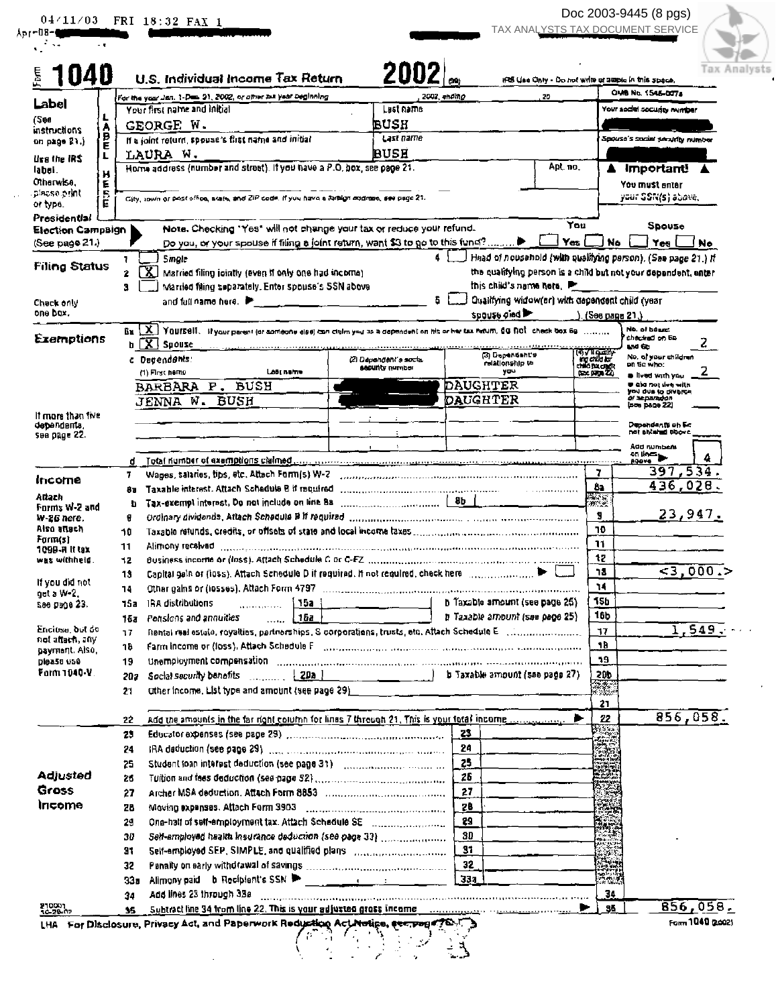|                                          |        |          | 04/11/03 FRI 18:32 FAX 1                                                                                                                                                                                                       |                                                                                                                           |             | TAX ANALYSTS TAX DOCUMENT SERVICE                                       |                                                    |                            |                                           |          |
|------------------------------------------|--------|----------|--------------------------------------------------------------------------------------------------------------------------------------------------------------------------------------------------------------------------------|---------------------------------------------------------------------------------------------------------------------------|-------------|-------------------------------------------------------------------------|----------------------------------------------------|----------------------------|-------------------------------------------|----------|
| <b>1040</b>                              |        |          | U.S. Individual Income Tax Return                                                                                                                                                                                              | 2002                                                                                                                      |             | IFS Use Only - Do not write at 2020 in this space.                      |                                                    |                            |                                           | Analvsts |
|                                          |        |          | For the year Jan. 1-Des. 31, 2002, or attractive year Deginning                                                                                                                                                                |                                                                                                                           | 2002 anding | 70                                                                      |                                                    |                            | OMB No. 1545-0074                         |          |
| Label                                    |        |          | Your first name and initial                                                                                                                                                                                                    | Lust name                                                                                                                 |             |                                                                         |                                                    |                            | Your sadel socurity number                |          |
| (See<br><b>instructions</b>              | Ą      |          | GEORGE W.                                                                                                                                                                                                                      | PUSH                                                                                                                      |             |                                                                         |                                                    |                            |                                           |          |
| on page 21.)                             | B<br>E |          | If a joint return, spouse's first name and initial                                                                                                                                                                             | Last name                                                                                                                 |             |                                                                         |                                                    |                            | Spouse's sucial security number           |          |
| Use the IRS                              |        |          | LAURA W.                                                                                                                                                                                                                       | <b>BUSH</b>                                                                                                               |             |                                                                         |                                                    |                            |                                           |          |
| label.                                   | н      |          | Home address (number and street). If you have a P.O. box, see page 21.                                                                                                                                                         |                                                                                                                           |             | Apt. no.                                                                |                                                    |                            | A Importanti                              |          |
| Otherwise,<br>placse orint               | Е      |          |                                                                                                                                                                                                                                |                                                                                                                           |             |                                                                         |                                                    |                            | You must enter<br>yaat SSN(s) abava,      |          |
| or typs.                                 | ら<br>E |          | City, zown or postoffice, surre, and ZIP dedit. If you have a foreign addition, see page 21.                                                                                                                                   |                                                                                                                           |             |                                                                         |                                                    |                            |                                           |          |
| Presidential<br><b>Election Campaign</b> |        |          | Note. Checking "Yes" will not change your tax or reduce your refund.                                                                                                                                                           |                                                                                                                           |             |                                                                         | You                                                |                            | Spouse                                    |          |
| (See page 21.)                           |        |          |                                                                                                                                                                                                                                |                                                                                                                           |             |                                                                         | Yes                                                | No.                        | Yes                                       | ∐ No     |
| <b>Filing Status</b>                     |        |          | Single                                                                                                                                                                                                                         |                                                                                                                           |             | Head of nousanold (with qualifying person). (See page 21.) If           |                                                    |                            |                                           |          |
|                                          |        | 2        | ΓX<br>Married filing jointly (even if only one had income)                                                                                                                                                                     |                                                                                                                           |             | the qualifying person is a child but not your depandent, enter          |                                                    |                            |                                           |          |
|                                          |        | з        | Married filing separately. Enter spouse's SSN above                                                                                                                                                                            |                                                                                                                           |             | this child's name note.                                                 |                                                    |                            |                                           |          |
| Check only<br>one bax.                   |        |          | and full name here. $\blacktriangleright$ and $\sqsubset$ and $\sqsubset$                                                                                                                                                      |                                                                                                                           |             | Qualifying widow(er) with dependent child (year<br><b>SPOUSE CIAL P</b> |                                                    | $1.1506 \text{ page } 21.$ |                                           |          |
|                                          |        |          | $_{\rm fit}$ (X)<br>YOUISSII. Il your parent (or someone else) can cigim you as a dependent on his or her tax hitum, SG ROL check box 69.                                                                                      |                                                                                                                           |             |                                                                         |                                                    |                            | No. of bosine.                            |          |
| Exemptions                               |        |          | $b \sqrt{X}$ Spouse                                                                                                                                                                                                            |                                                                                                                           |             |                                                                         |                                                    |                            | checked on En-<br>uvd 60                  |          |
|                                          |        |          | c Decendants:                                                                                                                                                                                                                  | (2) Dependent's social                                                                                                    |             | (3) Dependant's<br>relationship to                                      | (4) V 11 Q ally<br>Ing child for<br>child by chair |                            | No, al your children<br>on Ge who:        |          |
|                                          |        |          | (1) First hamo<br>Last nume                                                                                                                                                                                                    | <b>Sacurity number</b>                                                                                                    |             | yau                                                                     |                                                    |                            | <b>a</b> lived with you                   |          |
|                                          |        |          | <b>BUSH</b><br>BARBARA P.                                                                                                                                                                                                      |                                                                                                                           |             | DAUGHTER                                                                |                                                    |                            | ⊎ aic not live with<br>you due to diverse |          |
|                                          |        |          | JENNA W. BUSH                                                                                                                                                                                                                  |                                                                                                                           |             | DAUGHTER                                                                |                                                    |                            | ai separadon<br>(sos page 22)             |          |
| If more than five<br>оереповпи,          |        |          |                                                                                                                                                                                                                                |                                                                                                                           |             |                                                                         |                                                    |                            | Dependents on Ec<br>nai shlahid bbove     |          |
| see page 22.                             |        |          |                                                                                                                                                                                                                                |                                                                                                                           |             |                                                                         |                                                    |                            | Add numbers                               |          |
|                                          |        |          |                                                                                                                                                                                                                                |                                                                                                                           |             |                                                                         |                                                    |                            | on line                                   |          |
|                                          |        | 7.       | Wages, salaries, tips, etc. Attach Form(s) W-7 commonweaveness consumers and consumer consumers and                                                                                                                            |                                                                                                                           |             |                                                                         |                                                    | 7                          | 397,534.                                  |          |
| Income                                   |        | 88       |                                                                                                                                                                                                                                |                                                                                                                           |             |                                                                         |                                                    | Ĉ٦.                        | 436,028                                   |          |
| Allach<br>Forms W-2 and                  |        | b        |                                                                                                                                                                                                                                |                                                                                                                           |             |                                                                         |                                                    | 無意                         |                                           |          |
| w-26 nere.                               |        | 8        | Ordinary dividends, Attach Schedule B If required communications and contain an information of                                                                                                                                 |                                                                                                                           |             |                                                                         |                                                    | я                          | <u>23,947.</u>                            |          |
| Aiso atlach<br>Farm(s)                   |        | 10       |                                                                                                                                                                                                                                |                                                                                                                           |             |                                                                         |                                                    | ٦0                         |                                           |          |
| 1090 R II tax                            |        | 11       | Alimony recaived                                                                                                                                                                                                               |                                                                                                                           |             |                                                                         |                                                    | 11<br>12                   |                                           |          |
| was withheld.                            |        | 12<br>13 | Capital gain or (loss). Attach Schedule D if required. If not required, check here communications                                                                                                                              |                                                                                                                           |             |                                                                         |                                                    | 13                         | 5,000.                                    |          |
| If you did not                           |        | 14       |                                                                                                                                                                                                                                |                                                                                                                           |             |                                                                         |                                                    | 14                         |                                           |          |
| got a W-2.<br>See разе 23.               |        | 15a      | IRA distributions<br>i 15a -<br>$\frac{1}{2}$ . The contract of the contract of $\frac{1}{2}$                                                                                                                                  |                                                                                                                           |             | h Taxable amount (see page 25)                                          |                                                    | 15h                        |                                           |          |
|                                          |        | 15a      | 152<br>Pensions and annuities<br>$\overline{a}$                                                                                                                                                                                |                                                                                                                           |             | h Taxable amount (see page 25)                                          |                                                    | 16b                        |                                           |          |
| Enciuse, but do                          |        | 77       |                                                                                                                                                                                                                                |                                                                                                                           |             |                                                                         |                                                    | 17                         |                                           | 1,549.   |
| not attach, any<br>payment. Also,        |        | ገሁ       | Farm income or (loss), Atlach Schadule F (111) (111) (111) (111) (111) (111) (111) (111) (111) (111) (111) (111) (111) (111) (111) (111) (111) (111) (111) (111) (111) (111) (111) (111) (111) (111) (111) (111) (111) (111) ( |                                                                                                                           |             |                                                                         |                                                    | 1B                         |                                           |          |
| <b>Dipasa usé</b>                        |        | 19       | Unemployment compensation contains and contains and contained and contained and contained and contained and contained and contained and contained and contained and contained and contained and contained and contained and co |                                                                                                                           |             |                                                                         |                                                    | 19                         |                                           |          |
| Farm 1040-V.                             |        | 202      | Social security benefits $\begin{bmatrix} 2\,\texttt{DA} & 0 & \dots & 0 \\ 0 & 0 & 0 & \dots & 0 \\ 0 & 0 & 0 & 0 & 0 \end{bmatrix}$                                                                                          |                                                                                                                           |             | b Taxable amount (see page 27)                                          |                                                    | 200                        |                                           |          |
|                                          |        | 21       |                                                                                                                                                                                                                                |                                                                                                                           |             |                                                                         |                                                    | TA.                        |                                           |          |
|                                          |        |          | add the amounts in the far right column for lines 7 through 21. This is your total income                                                                                                                                      |                                                                                                                           |             |                                                                         | ▶                                                  | 21<br>22                   | 856,058.                                  |          |
|                                          |        | 22<br>23 |                                                                                                                                                                                                                                |                                                                                                                           | 23          |                                                                         |                                                    |                            |                                           |          |
|                                          |        | 24       |                                                                                                                                                                                                                                |                                                                                                                           | 24          |                                                                         |                                                    |                            |                                           |          |
|                                          |        | 25       |                                                                                                                                                                                                                                |                                                                                                                           | 25          |                                                                         |                                                    |                            |                                           |          |
| <b>Adjusted</b>                          |        | 26       |                                                                                                                                                                                                                                |                                                                                                                           | 26          |                                                                         |                                                    |                            |                                           |          |
| Gross                                    |        | 27       |                                                                                                                                                                                                                                |                                                                                                                           | 27          |                                                                         |                                                    |                            |                                           |          |
| Income                                   |        | 28       |                                                                                                                                                                                                                                |                                                                                                                           | 28          |                                                                         |                                                    | r mais:<br><b>Targ</b>     |                                           |          |
|                                          |        | 29       | One-half of self-employment tax. Attach Schedule SE manuscriptions                                                                                                                                                             |                                                                                                                           | 29          |                                                                         |                                                    | þæ                         |                                           |          |
|                                          |        | 30       | Self-employed health insurance deduction (see page 33)                                                                                                                                                                         |                                                                                                                           | <b>SD</b>   |                                                                         |                                                    | X                          |                                           |          |
|                                          |        | 91       |                                                                                                                                                                                                                                |                                                                                                                           | 37          |                                                                         |                                                    | HR.                        |                                           |          |
|                                          |        | 32       |                                                                                                                                                                                                                                |                                                                                                                           | 32          |                                                                         |                                                    |                            |                                           |          |
|                                          |        | 33а      |                                                                                                                                                                                                                                |                                                                                                                           | 33a         |                                                                         |                                                    | <b>RAW</b>                 |                                           |          |
|                                          |        | 34       | Add lines 23 through 33a                                                                                                                                                                                                       | .<br>Karti ya sensa sa kilippi ilippi ilippi ya shipi ilika cana sa anche na katala na kilippi ilike se per kenata kilipp |             |                                                                         |                                                    | 34                         |                                           |          |
| 210001<br>10-20-02                       |        |          | Subtract line 34 from line 22. This is your adjusted gross income company representation of the set                                                                                                                            |                                                                                                                           |             |                                                                         | ▶                                                  | 35                         |                                           | 856,058. |

 $\bar{\chi}$  ).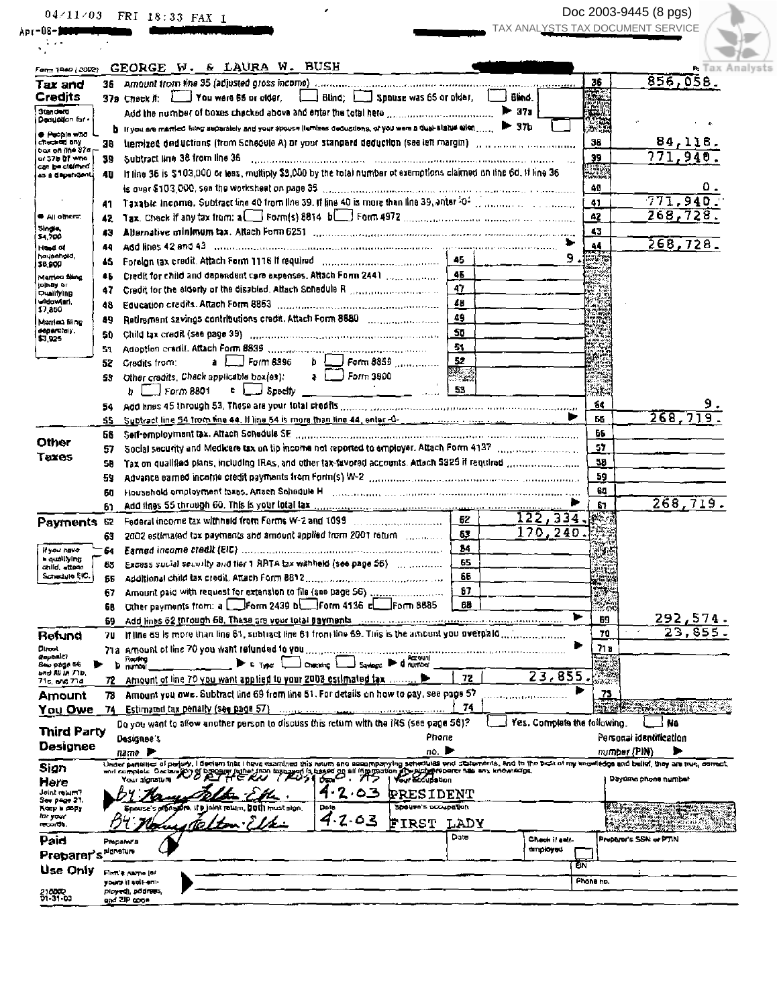|                                       |           | 04/11/03 FRI 18:33 FAX 1                                                                                                                                                          |                        |                              |                 | Doc 2003-9445 (8 pgs)             |
|---------------------------------------|-----------|-----------------------------------------------------------------------------------------------------------------------------------------------------------------------------------|------------------------|------------------------------|-----------------|-----------------------------------|
| Apr = 08 = <b>Disty west and a</b>    |           |                                                                                                                                                                                   |                        |                              |                 | TAX ANALYSTS TAX DOCUMENT SERVICE |
|                                       |           |                                                                                                                                                                                   |                        |                              |                 |                                   |
| Form 1940 (2002)                      |           | GEORGE W. & LAURA W. BUSH                                                                                                                                                         |                        |                              |                 | Tax Ana                           |
| Tax and                               |           | 36 Amount trom line 35 (adjusted gross income) communications and consumer communications and consumer                                                                            |                        |                              |                 | 856,058.<br>36                    |
| Credits                               |           | 37a Check it: You were 55 or older, Blind; 50 Spause was 65 or older,                                                                                                             |                        | Bind.                        |                 |                                   |
| <b>Sunders</b>                        |           | Add the number of boxes checked above and enter the total here manusummands.                                                                                                      |                        | $\blacktriangleright$ 372    |                 |                                   |
| Deauation for -                       |           | bill you are married hing suparately and your spouse (lemizes deductions, or you were a dual-status eilen,                                                                        |                        | $\blacktriangleright$ 371    |                 |                                   |
| <b>C People who</b><br>checked only   |           | tiemized deductions (from Schedule A) or your standard deduction (see left margin) [11] [11] [11] [11] [11] [1                                                                    |                        |                              |                 | 84,118.<br>38                     |
| box on iine 37a                       | 38.       | Subtract line 38 from line 36                                                                                                                                                     |                        |                              |                 | 771,940<br>39                     |
| or 37b 01 who<br>can be claimed       | 39        | If line 35 is \$103,000 or tess, multiply \$3,000 by the rotal number of examptions claimed on time 6d, if line 36                                                                |                        |                              |                 |                                   |
| as a dependent.                       | 4D.       |                                                                                                                                                                                   |                        |                              |                 | ο.                                |
|                                       |           |                                                                                                                                                                                   |                        |                              |                 | 49<br>771,940<br>41               |
| <b>C</b> All others:                  | 41        |                                                                                                                                                                                   |                        |                              |                 | 268,728.<br>42                    |
| Single,                               | 42        |                                                                                                                                                                                   |                        |                              |                 |                                   |
| \$4,700                               | 43        |                                                                                                                                                                                   |                        |                              |                 | 43<br>268,728                     |
| Hund of<br>hausehold.                 | 44        |                                                                                                                                                                                   |                        |                              | 9.              | 44                                |
| \$6,900                               | 45        |                                                                                                                                                                                   | 45                     |                              |                 |                                   |
| Marrico filing<br>to hay or           | 46        |                                                                                                                                                                                   | 47                     |                              |                 |                                   |
| Qualifying                            | 47        |                                                                                                                                                                                   |                        |                              |                 |                                   |
| widawien,<br>\$7,850                  | 48        |                                                                                                                                                                                   | 48                     |                              |                 |                                   |
| Monted films                          | 49        |                                                                                                                                                                                   | 49                     |                              |                 |                                   |
| déparately.<br>\$7,925                | SD.       |                                                                                                                                                                                   | 56                     |                              |                 | MC.                               |
|                                       | 51.       |                                                                                                                                                                                   | 51.                    |                              |                 | e.                                |
|                                       | 52        | $b \cup$ Form 8859<br>$a \mid$ Form 8396<br>Cradits from:                                                                                                                         | 52                     |                              |                 |                                   |
|                                       | 53.       | $\frac{1}{2}$ Form 3800<br>Other credits, Chack applicable box(es);                                                                                                               | $X \times \mathbb{R}$  |                              |                 |                                   |
|                                       |           | $\epsilon$ $\Box$ Specify $\Box$ $\Box$ $\Box$ $\Box$ $\Box$ $\Box$ $\Box$ 53<br>$b \mid$ Form 8801                                                                               |                        |                              |                 | بنغابية                           |
|                                       |           |                                                                                                                                                                                   |                        |                              |                 | 64                                |
|                                       | SS.       | Subtract line 54 from tine 44. If line 54 is more than tine 44, enter-0- and accommodate in accommodation                                                                         |                        |                              |                 | 268,719<br>55                     |
| Other                                 | 58        | Self-employment tax. Attach Schedule SE and construction of the construction of the construction of the self-                                                                     |                        |                              |                 | 55                                |
| <b>Taxes</b>                          | 57        |                                                                                                                                                                                   |                        |                              |                 | 57                                |
|                                       | SB.       | Tax on qualified plans, including IRAs, and other tax-favored accounts. Attach 5329 if required manuscription                                                                     |                        |                              |                 | 58                                |
|                                       | 59        | Advance earned income credit payments from Form(s) W-2 manus communities and consumer an advancement                                                                              |                        |                              |                 | 59                                |
|                                       | 60        | Household employment taxes. Attach Schedule H [1999] Management and the control of the control of the control of the                                                              |                        |                              |                 | 61                                |
|                                       |           |                                                                                                                                                                                   |                        |                              |                 | 268,719.<br>67                    |
| Payments 62                           |           |                                                                                                                                                                                   | 62                     | 122, 334                     |                 | $R^{1+\epsilon}$                  |
|                                       | 63.       | 2002 estimated tax payments and amount applied from 2001 return [1,1,1,1,1,1,1]]                                                                                                  | 63                     | 170,240.                     |                 |                                   |
| If you have                           |           |                                                                                                                                                                                   | 84.                    |                              |                 |                                   |
| a qualifying<br>child, attenn         | 65        | Excess sucial security and tier 1 RRTA tax withheld (see page 56) [11] minimum of                                                                                                 | 65                     |                              |                 | $\frac{1}{2}$                     |
| تستسطوا فالرائد                       | 55        |                                                                                                                                                                                   | 66                     |                              |                 | <b>Repu</b>                       |
|                                       | 67        | Amount paid with request for extension to file (see page 56) manuscription                                                                                                        | 67                     |                              |                 |                                   |
|                                       | 68        | Other payments from: a Form 2439 b Form 4136 c                                                                                                                                    | 68<br>Form 8685        |                              |                 | بتوجين                            |
|                                       | 69.       | Add lines 62 through 68. These are your total payments                                                                                                                            |                        |                              | ь               | 292,574.<br>69                    |
| Retuna                                | 70        | If line 69 is more than line 61, subtract the 61 from line 69. This is the amount you overpaid                                                                                    |                        |                              |                 | 23,85<br>70                       |
| Dirock                                |           | 71a. Amount of line 70 you want relunded to you                                                                                                                                   |                        |                              |                 | 8 ו7                              |
| Gepealt?<br>See page 56               | Þ         | Routing<br>number<br>$\blacktriangleright$ the L<br>Output<br>Savence P                                                                                                           | <b>Q</b> nurring       |                              |                 |                                   |
| and Mi in 77b,<br>71c, end 71d        | 72        | Amount of line 70 you want applied to your 2003 estimated tax                                                                                                                     | 72                     | 23,855                       |                 | 78 S.                             |
| Amount                                | 78        | Amount you owe. Subtract line 69 from line 51. For details on how to pay, see page 57                                                                                             |                        |                              |                 | 73                                |
| <b>You Owe</b>                        | 74        | Estimated tax penalty (see page 57)                                                                                                                                               | 74                     |                              |                 | ma <del>de exper</del> ience of   |
|                                       |           | Do you want to allow another person to discuss this return with the IRS (see page 58)?                                                                                            |                        | Yes. Complete the following. |                 | No                                |
| <b>Third Party</b>                    |           | Designee's                                                                                                                                                                        | Phone                  |                              |                 | Personal identification           |
| <b>Designee</b>                       |           | name P                                                                                                                                                                            | 00.                    |                              |                 | number (PIN)                      |
| Sign                                  |           | Under penalic of periply, I decism that I have examined this rolum and sesempanying senedules and colombrits, and to the best of my anowledge and belief, they are true, correct, |                        |                              |                 |                                   |
|                                       |           | DEDENIT (Sther from basing of is based on all improvation of weigher power has any knowledge.<br>and complete Occian (P) 9<br>Pour alanziure                                      |                        |                              |                 | Dayome phone number               |
|                                       |           | .03                                                                                                                                                                               | <b>PRESIDENT</b>       |                              |                 |                                   |
|                                       |           | Броизе з «Блари», II в joint rown. DOM must sign.<br>Dete                                                                                                                         | Speure's possibilitien |                              |                 |                                   |
| Here<br>Joint return?<br>See page 27. |           |                                                                                                                                                                                   |                        |                              |                 |                                   |
| Keep is papy<br>la your               |           |                                                                                                                                                                                   |                        |                              |                 |                                   |
|                                       |           | 4.2.03                                                                                                                                                                            | FIRST<br>LADY          |                              |                 |                                   |
|                                       |           | Proparat a                                                                                                                                                                        | Date                   | Check it self-<br>στιριογικ  |                 | Propher's SSN or PTIN             |
| ರಾವರು.<br>Paid<br>Preparer's          | dignature |                                                                                                                                                                                   |                        |                              |                 |                                   |
| Use Only                              |           | Firm's name (or<br>yours it self-em-                                                                                                                                              |                        |                              | ΕÑ<br>Phone hp. |                                   |

 $\mathcal{L}(\mathbf{z})$ 

 $\rightarrow$ Doc 2003-9445 (8 pgs) v  $\frac{1}{\text{alysts}}$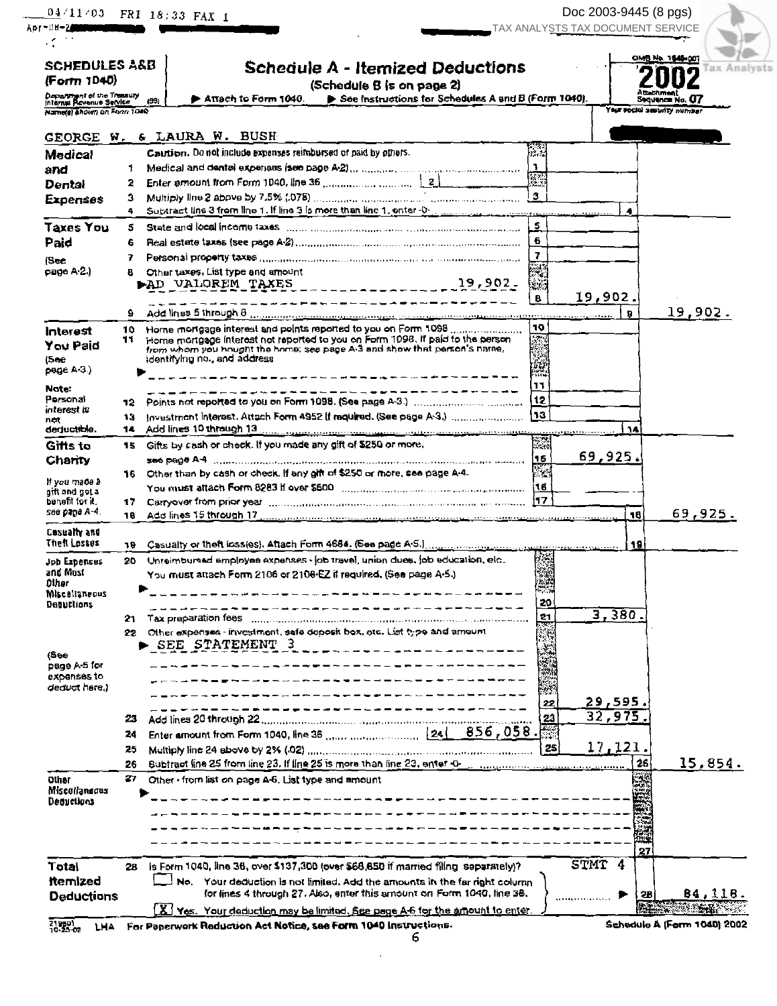| ADT-UU-ZOOPTICHE                                                                     |           | 04/11/03 FRI 18:33 FAX 1                                                                               |                |        | Doc 2003-9445 (8 pgs)<br>TAX ANALYSTS TAX DOCUMENT SERVICE |                                         |
|--------------------------------------------------------------------------------------|-----------|--------------------------------------------------------------------------------------------------------|----------------|--------|------------------------------------------------------------|-----------------------------------------|
| SCHEDULES A&B<br>(Form 1040)                                                         |           | <b>Schedule A - Itemized Deductions</b>                                                                |                |        |                                                            | OMB No. 1545-007<br><b>Tax Analysts</b> |
|                                                                                      |           | (Schedule B is on page 2)<br>See Instructions for Schedules A and B (Form 1040).                       |                |        |                                                            | Attachment                              |
| Department of the Treasury<br>Internal Revenue Service<br>Name(s) shown on Form 1080 |           | ♪ Απεςh to Form 1040. .<br>(39)                                                                        |                |        | Your social sesurity number                                | Sequence No. 07                         |
|                                                                                      |           |                                                                                                        |                |        |                                                            |                                         |
|                                                                                      |           | GEORGE W. & LAURA W. BUSH                                                                              |                |        |                                                            |                                         |
| <b>Medical</b>                                                                       |           | Caution. Do not include expanses raimbursed or paid by others.                                         |                |        |                                                            |                                         |
| and                                                                                  | Т.        |                                                                                                        | $\frac{1}{2}$  |        |                                                            |                                         |
| <b>Dental</b>                                                                        | 2         |                                                                                                        |                |        |                                                            |                                         |
| <b>Expenses</b>                                                                      | 3         |                                                                                                        |                |        |                                                            |                                         |
| Taxes You                                                                            | 5         |                                                                                                        |                |        |                                                            |                                         |
| Paid                                                                                 | 6         |                                                                                                        |                |        |                                                            |                                         |
|                                                                                      |           |                                                                                                        | $\overline{7}$ |        |                                                            |                                         |
| (Sec<br>page A-2.)                                                                   |           | Other taxes. List type and amount                                                                      |                |        |                                                            |                                         |
|                                                                                      |           |                                                                                                        | ka l           |        |                                                            |                                         |
|                                                                                      |           | _______ <b>_______________________</b> ___                                                             | в              |        | 19,902.                                                    |                                         |
|                                                                                      | 9.        |                                                                                                        |                |        | ы                                                          | 19,902.                                 |
| Interest                                                                             | 11.       | Home mortgage interest not reported to you on Form 1098. If paid to the person                         | 10             |        |                                                            |                                         |
| You Paid                                                                             |           | from whom you bought the home; see page A-3 and show that person's name,                               |                |        |                                                            |                                         |
| (5ее                                                                                 |           | identifying no., and address                                                                           |                |        |                                                            |                                         |
| page A-3.)                                                                           |           |                                                                                                        |                |        |                                                            |                                         |
| Note:<br>Personal                                                                    |           | ----------------------------------                                                                     | 11             |        |                                                            |                                         |
| interest it                                                                          |           |                                                                                                        |                |        |                                                            |                                         |
| net.<br>deductible.                                                                  | 13<br>14. | Investment Interest. Attach Form 4952 if required. (See page A-3.)                                     |                |        | 14                                                         |                                         |
| Gifts to                                                                             |           | 15 Gifts by cash or check. If you made any gift of \$250 or more,                                      | 漂亮             |        |                                                            |                                         |
| Charity                                                                              |           |                                                                                                        | 15             |        | 69,925.                                                    |                                         |
|                                                                                      | 16.       | Other than by cash or check. If any gift of \$250 or more, see page A-4.                               |                |        |                                                            |                                         |
| If you made a<br>gift and got a                                                      |           |                                                                                                        |                |        |                                                            |                                         |
| benefit for it.                                                                      | 17        | Carryover from prior year manufactured contains and contain the compact 17                             |                |        |                                                            |                                         |
| see page A-4.                                                                        | 18.       |                                                                                                        |                |        | 18                                                         | 69,925.                                 |
| Casualty and<br>Then Losses                                                          |           | 19 Casualty or theft loss(es), Attach Form 4684, (See page A-5.] manufacture contemporary contemporary |                |        | 191                                                        |                                         |
|                                                                                      |           | 20 Unreimbursed employee expenses - [ob travel, union dues, job education, elc.                        |                |        |                                                            |                                         |
| Job Expenses<br>and Most                                                             |           | You must attach Form 2106 or 2108-EZ if required, (See page A-5.)                                      |                |        |                                                            |                                         |
| Olher<br>Miscollaneous                                                               |           |                                                                                                        | P.             |        |                                                            |                                         |
| Denuctions                                                                           |           |                                                                                                        | 20<br>21       |        | 3,380.                                                     |                                         |
|                                                                                      | 21.       | Other expenses - investment, safe deposit box, etc. List type and amount                               |                |        |                                                            |                                         |
|                                                                                      | 22.       | SEE STATEMENT 3                                                                                        | X,             |        |                                                            |                                         |
| (8эе<br>page A-5 for                                                                 |           | --------------------                                                                                   |                |        |                                                            |                                         |
| expenses to                                                                          |           | --------- <b>---</b> -----------                                                                       |                |        |                                                            |                                         |
| deduct here.)                                                                        |           | _____________________________                                                                          |                |        |                                                            |                                         |
|                                                                                      |           |                                                                                                        | 22             |        | 29,595.<br>32, 975.                                        |                                         |
|                                                                                      | 23        |                                                                                                        | 23             |        |                                                            |                                         |
|                                                                                      | 24        |                                                                                                        | 25             |        | 17,121.                                                    |                                         |
|                                                                                      | 25<br>26  |                                                                                                        |                |        | 26                                                         | 15,854.                                 |
| Other                                                                                | 27        | Other - from list on page A-6. List type and amount                                                    |                |        |                                                            |                                         |
| Miscollangous                                                                        |           |                                                                                                        |                |        |                                                            |                                         |
| Dequations                                                                           |           |                                                                                                        |                |        |                                                            |                                         |
|                                                                                      |           |                                                                                                        |                |        |                                                            |                                         |
|                                                                                      |           |                                                                                                        |                |        |                                                            |                                         |
|                                                                                      |           |                                                                                                        |                |        | 27                                                         |                                         |
| Total                                                                                | 28        | is Form 1040, line 36, over \$137,300 (over \$66,650 if married filing separately)?                    |                | STMT 4 |                                                            |                                         |
| <b>ttemized</b>                                                                      |           | No. Your deduction is not limited. Add the amounts in the far right column                             |                |        |                                                            |                                         |
|                                                                                      |           | for lines 4 through 27. Also, enter this amount on Form 1040, line 38.                                 |                |        | 28                                                         | 84,118.                                 |
| <b>Deductions</b>                                                                    |           | X Yes. Your deduction may be limited, See page A-6 for the amount to enter.                            |                |        | 松糖                                                         | 1994 - S.A.                             |

 $\hat{\boldsymbol{\beta}}$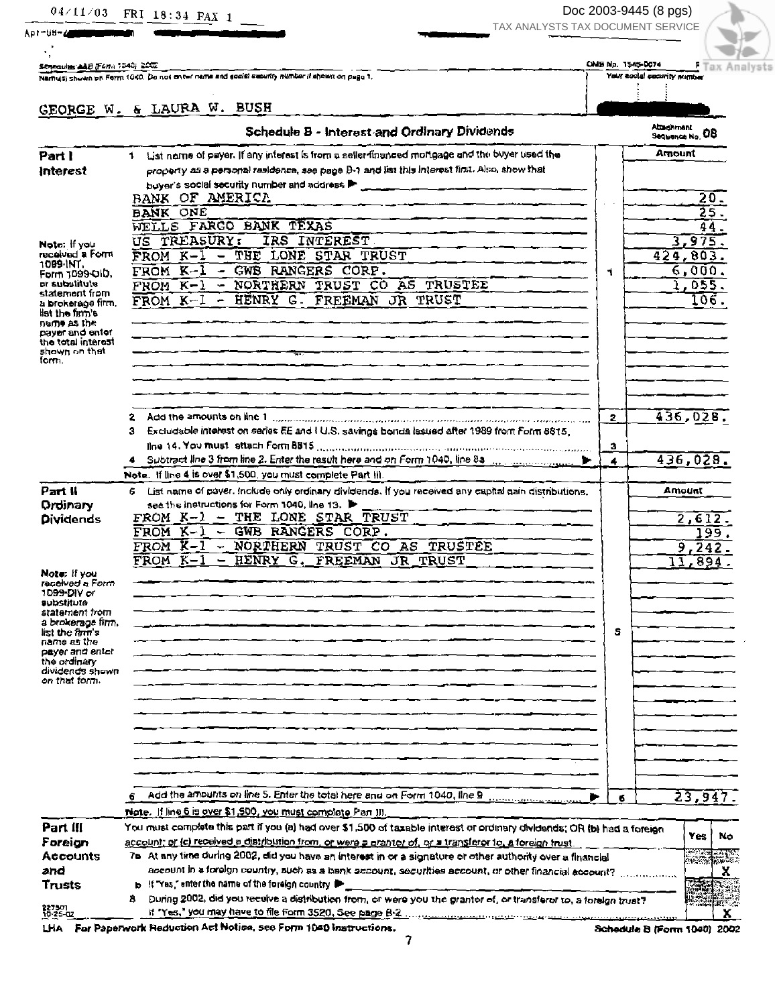Doc 2003-9445 (8 pgs) TAX ANALYSTS TAX DOCUMENT SERVICE



Senbourne AAB (Form 1540) 2007

Name(s) shown on Form 1040. Do not on twi mame and social security number if ahown on page 1.

OMB No. 1545-0074 Your social country minutes

## GEORGE W. & LAURA W. BUSH

| List name of payer. If any interest is from a seller financed mortgage and the buyer used the<br>Part I<br>1.<br>property as a personal residence, see page B-1 and list this interest first. Also, show that<br>Interest<br>buyer's social security number and address P<br><u> 1966 - Jan Johann Hann, film an Isla</u><br>BANK OF AMERICA<br><b>BANK ONE</b><br>WELLS FARGO BANK TEXAS<br>TREASURY:<br>IRS INTEREST<br>បន<br>Noto: If you<br>received a Form<br>THE LONE STAR TRUST<br>FROM K-1 |              | Amount<br>20.<br>25.<br>44<br>3,975.<br>424,803.<br>6,000.<br>1,055. |
|----------------------------------------------------------------------------------------------------------------------------------------------------------------------------------------------------------------------------------------------------------------------------------------------------------------------------------------------------------------------------------------------------------------------------------------------------------------------------------------------------|--------------|----------------------------------------------------------------------|
|                                                                                                                                                                                                                                                                                                                                                                                                                                                                                                    |              |                                                                      |
|                                                                                                                                                                                                                                                                                                                                                                                                                                                                                                    |              |                                                                      |
|                                                                                                                                                                                                                                                                                                                                                                                                                                                                                                    |              |                                                                      |
|                                                                                                                                                                                                                                                                                                                                                                                                                                                                                                    |              |                                                                      |
|                                                                                                                                                                                                                                                                                                                                                                                                                                                                                                    |              |                                                                      |
|                                                                                                                                                                                                                                                                                                                                                                                                                                                                                                    |              |                                                                      |
|                                                                                                                                                                                                                                                                                                                                                                                                                                                                                                    |              |                                                                      |
|                                                                                                                                                                                                                                                                                                                                                                                                                                                                                                    |              |                                                                      |
| 1009-INT.<br>- GWB RANGERS CORP.<br>FROM K-1<br>۹.<br>Form 1099-OID,                                                                                                                                                                                                                                                                                                                                                                                                                               |              |                                                                      |
| et substitute<br>- NORTHERN TRUST CO AS TRUSTEE<br>$FROM K-1$                                                                                                                                                                                                                                                                                                                                                                                                                                      |              |                                                                      |
| statemont from<br>- HENRY G. FREEMAN JR TRUST<br>FROM K-1<br>a brokerage firm,<br>list the firm's                                                                                                                                                                                                                                                                                                                                                                                                  |              | 106.                                                                 |
| na <b>me as the</b><br>payer and enter                                                                                                                                                                                                                                                                                                                                                                                                                                                             |              |                                                                      |
| the total interest<br>shown on that<br>form.                                                                                                                                                                                                                                                                                                                                                                                                                                                       |              |                                                                      |
|                                                                                                                                                                                                                                                                                                                                                                                                                                                                                                    |              |                                                                      |
| Add the amounts on line 1 communication communication in the material construction of                                                                                                                                                                                                                                                                                                                                                                                                              | 2            | 436,028.                                                             |
| Excludable interest on series EE and I U.S. savings bonds lasued after 1989 from Form 8815.<br>3                                                                                                                                                                                                                                                                                                                                                                                                   |              |                                                                      |
|                                                                                                                                                                                                                                                                                                                                                                                                                                                                                                    | $\mathbf{a}$ |                                                                      |
|                                                                                                                                                                                                                                                                                                                                                                                                                                                                                                    | 4            | 436,028.                                                             |
| Note. If line 4 is over \$1,500, you must complete Part III.                                                                                                                                                                                                                                                                                                                                                                                                                                       |              |                                                                      |
| Part II<br>6 List name of payer, include only ordinary dividends. If you received any capital gain distributions,                                                                                                                                                                                                                                                                                                                                                                                  |              | Amount                                                               |
| see the instructions for Form 1040, line 13.<br>Ordinary                                                                                                                                                                                                                                                                                                                                                                                                                                           |              |                                                                      |
| FROM K-1 - THE LONE STAR TRUST<br><b>Dividends</b>                                                                                                                                                                                                                                                                                                                                                                                                                                                 |              | 2,612                                                                |
| FROM $K-1$ - GWB RANGERS CORP.                                                                                                                                                                                                                                                                                                                                                                                                                                                                     |              | 99.                                                                  |
| FROM K-1 - NORTHERN TRUST CO AS TRUSTEE                                                                                                                                                                                                                                                                                                                                                                                                                                                            |              | 9.24                                                                 |
| $FROM K-1$<br>- HENRY G. FREEMAN JR TRUST                                                                                                                                                                                                                                                                                                                                                                                                                                                          |              | 11.894                                                               |
| Note: If you                                                                                                                                                                                                                                                                                                                                                                                                                                                                                       |              |                                                                      |
| received a Form<br>1099-DIV or                                                                                                                                                                                                                                                                                                                                                                                                                                                                     |              |                                                                      |
| <b>Substitute</b>                                                                                                                                                                                                                                                                                                                                                                                                                                                                                  |              |                                                                      |
| statement from<br>a brokerage fimm.                                                                                                                                                                                                                                                                                                                                                                                                                                                                |              |                                                                      |
| list the firm's                                                                                                                                                                                                                                                                                                                                                                                                                                                                                    | s            |                                                                      |
| name as the<br>payer and enter                                                                                                                                                                                                                                                                                                                                                                                                                                                                     |              |                                                                      |
| the ordinary                                                                                                                                                                                                                                                                                                                                                                                                                                                                                       |              |                                                                      |
| cividencs shown<br>on that torm.                                                                                                                                                                                                                                                                                                                                                                                                                                                                   |              |                                                                      |
|                                                                                                                                                                                                                                                                                                                                                                                                                                                                                                    |              |                                                                      |
|                                                                                                                                                                                                                                                                                                                                                                                                                                                                                                    |              |                                                                      |
|                                                                                                                                                                                                                                                                                                                                                                                                                                                                                                    |              |                                                                      |
|                                                                                                                                                                                                                                                                                                                                                                                                                                                                                                    |              |                                                                      |
|                                                                                                                                                                                                                                                                                                                                                                                                                                                                                                    |              |                                                                      |
|                                                                                                                                                                                                                                                                                                                                                                                                                                                                                                    |              |                                                                      |
|                                                                                                                                                                                                                                                                                                                                                                                                                                                                                                    |              |                                                                      |
| Add the amounts on line 5. Enter the total here and on Form 1040, line 9                                                                                                                                                                                                                                                                                                                                                                                                                           |              | 23,947.                                                              |
| Note. If line 6 is over \$1,500, you must complete Pan III,                                                                                                                                                                                                                                                                                                                                                                                                                                        | $\bullet$    |                                                                      |
|                                                                                                                                                                                                                                                                                                                                                                                                                                                                                                    |              |                                                                      |
| Part III<br>You must complete this part if you (a) had over \$1,500 of taxable interest or ordinary dividends; OR (b) had a foreign                                                                                                                                                                                                                                                                                                                                                                |              | Yes<br>No                                                            |
| account; or (c) received a distribution from, or were a grantor of, or a transferor to, a foreign trust.<br>Foreign                                                                                                                                                                                                                                                                                                                                                                                |              |                                                                      |
| <b>Accounts</b><br>7b At any time during 2002, did you have an interest in or a signature or other authority over a financial                                                                                                                                                                                                                                                                                                                                                                      |              | San Maria                                                            |
| account in a foreign country, such as a bank account, securities account, or other financial account?<br>and<br>b If "Yes," enter the name of the foreign country in                                                                                                                                                                                                                                                                                                                               |              | x                                                                    |
| Trusts<br>During 2002, did you receive a distribution from, or were you the grantor of, or transferor to, a foreign trust?<br>8                                                                                                                                                                                                                                                                                                                                                                    |              | 高麗                                                                   |
| 227501<br>10-25-02                                                                                                                                                                                                                                                                                                                                                                                                                                                                                 |              |                                                                      |

LHA For Paperwork Reduction Act Notice, see Form 1040 instructions.

Schedule B (Form 1040) 2002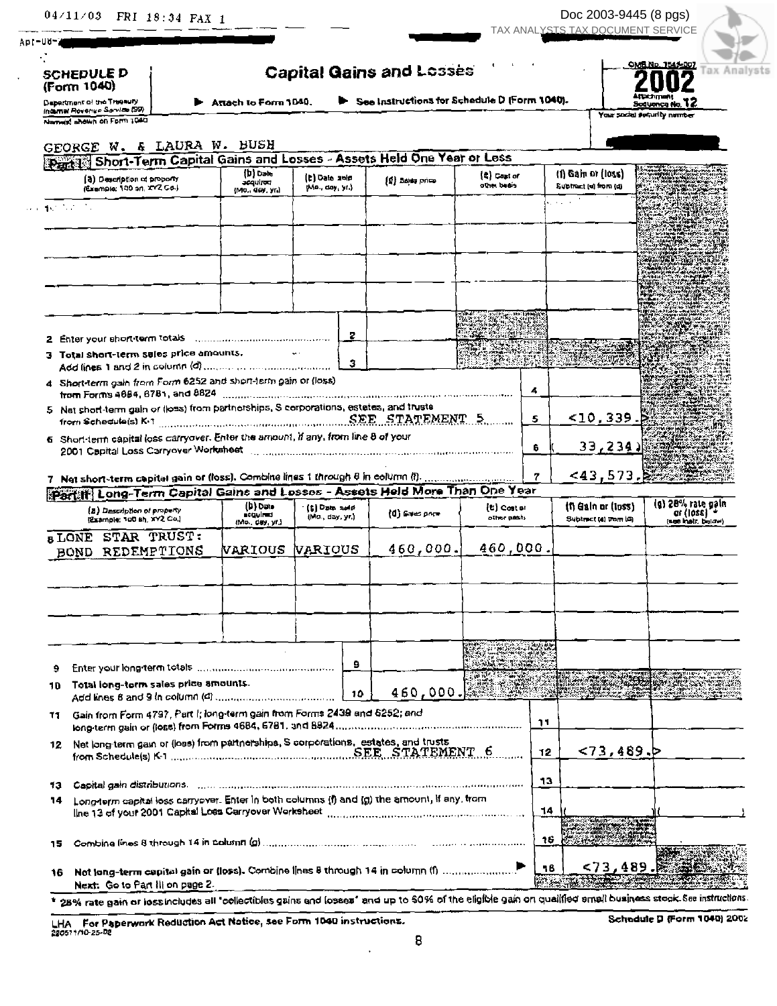| $04/11/03$ FRI 18:34 FAX 1 |  |  |  |  |
|----------------------------|--|--|--|--|
|----------------------------|--|--|--|--|

Doc 2003-9445 (8 pgs) TAX ANALYSTS TAX DOCUMENT SERVICE



gain alaw).

**SCHEDULE D** (Form 1040)

Apr-U6-

| <b>Capital Gains and Losses</b> |  |  |  |
|---------------------------------|--|--|--|
|---------------------------------|--|--|--|

Depertment of the Thienury<br>Internal Revenue Service (99)

Attach to Form 1040.

See Instructions for Schedule D (Form 1040).



|        | Named shown on Form 1040                                                                                                    |                                            |                                             |     |                 |                                                                                                                                                                                                                                      |    |                                             | Your social security namber                                   |  |
|--------|-----------------------------------------------------------------------------------------------------------------------------|--------------------------------------------|---------------------------------------------|-----|-----------------|--------------------------------------------------------------------------------------------------------------------------------------------------------------------------------------------------------------------------------------|----|---------------------------------------------|---------------------------------------------------------------|--|
|        | GEORGE W. & LAURA W. BUSH                                                                                                   |                                            |                                             |     |                 |                                                                                                                                                                                                                                      |    |                                             |                                                               |  |
|        | <b>Party: Short-Term Capital Gains and Losses - Assets Held One Year or Less</b>                                            |                                            |                                             |     |                 |                                                                                                                                                                                                                                      |    |                                             |                                                               |  |
|        | (3) Description of proporty<br>(Exemple: 100 on, 272 Co.)                                                                   | (b) Date<br>sequirea<br>(Mo., day, yr.)    | (C) Date auto<br>Mo., day, yr.)             |     | (1) Balts price | $(2)$ Cast of<br>ather beais                                                                                                                                                                                                         |    | (1) Gain or (loss)<br>Subtract (e) from (d) |                                                               |  |
| ねつちのうち |                                                                                                                             |                                            |                                             |     |                 |                                                                                                                                                                                                                                      |    | and a                                       | 320aC                                                         |  |
|        |                                                                                                                             |                                            |                                             |     |                 |                                                                                                                                                                                                                                      |    |                                             |                                                               |  |
|        |                                                                                                                             |                                            |                                             |     |                 |                                                                                                                                                                                                                                      |    |                                             |                                                               |  |
|        |                                                                                                                             |                                            |                                             |     |                 |                                                                                                                                                                                                                                      |    |                                             |                                                               |  |
|        |                                                                                                                             |                                            |                                             | 2   |                 |                                                                                                                                                                                                                                      |    |                                             |                                                               |  |
|        | 2 Enter your short-term totals communications and contained                                                                 |                                            |                                             |     |                 |                                                                                                                                                                                                                                      |    |                                             |                                                               |  |
|        | 3 Total short-term seles price amounts.                                                                                     |                                            |                                             | з   |                 |                                                                                                                                                                                                                                      |    |                                             |                                                               |  |
|        | 4. Short-term gain from Form 6252 and short-term gain or (loss)                                                             |                                            |                                             |     |                 |                                                                                                                                                                                                                                      | 4  |                                             |                                                               |  |
|        | 5 Net short-term gain or (loss) from partnerships, S corporations, estates, and trustal<br>from Schedule(s) K-1             | SEE STATEMENT 5                            |                                             |     |                 |                                                                                                                                                                                                                                      | 5  | $~10.339~\mu$                               |                                                               |  |
|        | 6 Short-term capital loss carryover. Enter the amount, if any, from line 8 of your<br>2001 Capital Loss Carryover Worksheet |                                            |                                             |     |                 |                                                                                                                                                                                                                                      | 6  | 33,234)                                     |                                                               |  |
|        |                                                                                                                             |                                            |                                             |     |                 |                                                                                                                                                                                                                                      | 7  | <43,573. 冷寒寒寒                               |                                                               |  |
|        | Partiff Long-Term Capital Gains and Losses - Assets Held More Than One Year                                                 |                                            |                                             |     |                 |                                                                                                                                                                                                                                      |    |                                             |                                                               |  |
|        | (a) Description of property<br>(Example: 100 sh, XY2 Co.)                                                                   | (D) Date<br>acquired<br>$(Mo.$ $@y.$ $y'.$ | <b>Calculation</b> and d<br>(Ma., day, yr.) |     | (0) Saves poem  | <b>[t] Coster</b><br>other pash.                                                                                                                                                                                                     |    | (f) Gain or (loss)<br>Subtract (d) tram (d) | (g) 28% rate ga<br>or (loss) <sup>-</sup><br>(see helt, below |  |
|        | <b>SLONE STAR TRUST:</b><br>BOND REDEMPTIONS                                                                                | VARIOUS VARIOUS                            |                                             |     | 460,000.        | 460,000.                                                                                                                                                                                                                             |    |                                             |                                                               |  |
|        |                                                                                                                             |                                            |                                             |     |                 |                                                                                                                                                                                                                                      |    |                                             |                                                               |  |
|        |                                                                                                                             |                                            |                                             |     |                 |                                                                                                                                                                                                                                      |    |                                             |                                                               |  |
|        |                                                                                                                             |                                            |                                             |     |                 | pinale control in the control of the file<br>It will be a second the control of the control of the control of the control of the control of the control of<br>It will be a second the control of the control of the control of the c |    |                                             |                                                               |  |
| 9.     |                                                                                                                             |                                            |                                             | в   |                 | <b>Sold Property</b>                                                                                                                                                                                                                 |    |                                             |                                                               |  |
|        | 10 Total long-torm sales price amounts.                                                                                     |                                            |                                             | 10. | 460,000. 468    |                                                                                                                                                                                                                                      |    |                                             |                                                               |  |
| 11     | Gain from Form 4797, Part I; long-term gain from Forms 2439 and 6252; and                                                   |                                            |                                             |     |                 |                                                                                                                                                                                                                                      | าา |                                             |                                                               |  |
|        | 12. Net long-term gain or (loss) from partnerships, S corporations, estates, and trusts                                     |                                            |                                             |     |                 |                                                                                                                                                                                                                                      | 12 | < 73,489.                                   |                                                               |  |
| 13.    |                                                                                                                             |                                            |                                             |     |                 |                                                                                                                                                                                                                                      | 13 |                                             |                                                               |  |
| 14     | Longderm capital loss carryover. Enter in both columns (i) and (g) the amount, if any, trom                                 |                                            |                                             |     |                 |                                                                                                                                                                                                                                      | 14 |                                             |                                                               |  |
| 15     |                                                                                                                             |                                            |                                             |     |                 |                                                                                                                                                                                                                                      | 16 |                                             |                                                               |  |
|        | $long-term$ canizal gain or floss). Combine lines 8 through 14 in column (f)                                                |                                            |                                             |     |                 |                                                                                                                                                                                                                                      | 16 | < 73,489                                    |                                                               |  |

**MASS TO A REAL** 

Next: Go to Part III on page 2.

16

\* 25% rate gain or loss includes all "collectibles gains and losses" and up to \$0% of the eligible gain on qualified small business steck. See instructions.

Not long-term capital gain or (loss). Combine lines 8 through 14 in column (f) ...............................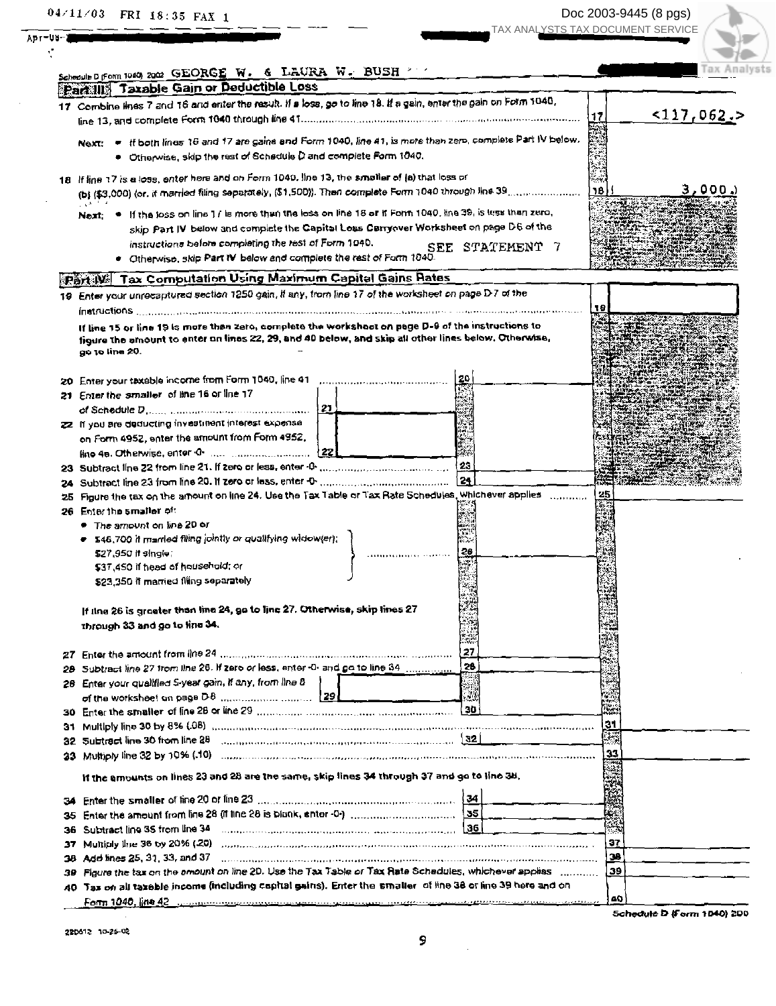$04 \times 11 \times 03$  FRI 18:35 FAX 1

Apr-Ub-1  $\mathcal{L}$ 

 $\bar{\beta}$ 

 $\mathcal{A}^{\mathcal{A}}$ 

|     | Schoolie Differen 1940) 2002 GEORGE W. & LAURA W. BUSH                                                                                                                                                                         |                 | Tax Analy                   |
|-----|--------------------------------------------------------------------------------------------------------------------------------------------------------------------------------------------------------------------------------|-----------------|-----------------------------|
|     | Partilly Taxable Gain or Deductible Loss                                                                                                                                                                                       |                 |                             |
|     | 17 Combine lines 7 and 16 and enter the result. If a loss, go to line 18. If a gain, enter the gain on Form 1040,                                                                                                              |                 |                             |
|     |                                                                                                                                                                                                                                |                 | <u>&lt;117,062.</u> ><br>17 |
|     | Next: . If both lines 16 and 17 are gains and Form 1040, line 41, is more than zero, complete Part IV below.                                                                                                                   |                 |                             |
|     |                                                                                                                                                                                                                                |                 |                             |
|     | . Otherwise, skip the rest of Schedule D and complete Form 1040.                                                                                                                                                               |                 |                             |
|     | 18 If line 17 is a loss, enter here and on Form 1049. Ine 13, the smaller of (a) that loss or                                                                                                                                  |                 |                             |
|     |                                                                                                                                                                                                                                |                 | ٦B l<br>3,000.              |
|     |                                                                                                                                                                                                                                |                 |                             |
|     | If the loss on line 1/ is more than the loss on line 18 or if Form 1040, line 39, is less than zero,<br>$Next$ $\bullet$                                                                                                       |                 |                             |
|     | skip Part IV below and complete the Capital Loss Carryover Worksheet on page D6 of the                                                                                                                                         |                 |                             |
|     | instructions before completing the rest of Form 1040.                                                                                                                                                                          | SEE STATEMENT 7 |                             |
|     | Ctherwise, skip Part IV below and complete the rest of Form 1040.                                                                                                                                                              |                 |                             |
|     | <b>Part W. Tax Computation Using Maximum Capital Gains Rates</b>                                                                                                                                                               |                 |                             |
|     | 19 Enter your unrecaptured section 1250 gain, if any, from line 17 of the worksheet on page D-7 of the                                                                                                                         |                 |                             |
|     |                                                                                                                                                                                                                                |                 | 19                          |
|     | If line 15 or line 19 is more than zero, complete the workshoot on page D-9 of the instructions to                                                                                                                             |                 |                             |
|     | figure the amount to enter an lines 22, 29, and 40 below, and skip all other lines below. Otherwise,                                                                                                                           |                 |                             |
|     | go to line 20.                                                                                                                                                                                                                 |                 |                             |
|     |                                                                                                                                                                                                                                |                 |                             |
|     |                                                                                                                                                                                                                                |                 |                             |
|     | 21 Enter the smaller of line 16 or line 17                                                                                                                                                                                     |                 |                             |
|     |                                                                                                                                                                                                                                |                 |                             |
|     | 22 If you are deducting investment interest expense                                                                                                                                                                            |                 |                             |
|     | on Form 4952, enter the amount from Form 4952,                                                                                                                                                                                 |                 |                             |
|     |                                                                                                                                                                                                                                |                 |                             |
|     |                                                                                                                                                                                                                                | 23              |                             |
|     |                                                                                                                                                                                                                                | ∣ 24            |                             |
| 24. |                                                                                                                                                                                                                                |                 |                             |
| 25  | Figure the tax on the amount on line 24. Use the Tax Table or Tax Rate Schedules, whichever applies                                                                                                                            |                 | 25                          |
|     | 26 Enter the smaller of:                                                                                                                                                                                                       |                 |                             |
|     | ● The amount on line 20 or                                                                                                                                                                                                     |                 |                             |
|     | $\bullet$ 546,700 it married filing jointly or qualifying widow(er);                                                                                                                                                           |                 |                             |
|     | \$27,950 if single                                                                                                                                                                                                             |                 |                             |
|     | \$37,450 if head of household; or                                                                                                                                                                                              |                 |                             |
|     | \$23,350 if married filing separately                                                                                                                                                                                          |                 |                             |
|     |                                                                                                                                                                                                                                |                 |                             |
|     | If tine 26 is greater than line 24, go to line 27. Otherwise, skip lines 27                                                                                                                                                    |                 |                             |
|     | through 33 and go to line 34.                                                                                                                                                                                                  |                 |                             |
|     |                                                                                                                                                                                                                                | $-11$           |                             |
| 27. |                                                                                                                                                                                                                                | 27              |                             |
|     | Subtract line 27 from line 26. If zero or less, enter -0- and go to line 34                                                                                                                                                    | 28              |                             |
| 28. | Enter your qualified S-year gain, if any, from line 8                                                                                                                                                                          |                 |                             |
|     |                                                                                                                                                                                                                                | J               |                             |
|     |                                                                                                                                                                                                                                |                 |                             |
| 31  | Multiply line 30 by 8% (.08) manufactured contains and contained and contained and contained and contained and                                                                                                                 |                 | 31                          |
|     | 32 Subtract line 30 from line 28 <b>Common Common Common Construction</b> (32)                                                                                                                                                 |                 |                             |
|     | 33 Multiply line 32 by 10% (10) compressions are consumed and consumer consumer and consumer consumer consumer                                                                                                                 |                 | 33                          |
|     | If the amounts on lines 23 and 28 are the same, skip lines 34 through 37 and go to line 38.                                                                                                                                    |                 |                             |
|     |                                                                                                                                                                                                                                |                 |                             |
|     |                                                                                                                                                                                                                                | 134             |                             |
| 35  |                                                                                                                                                                                                                                | l 35            |                             |
| 36  | Subtract line 35 from line 34                                                                                                                                                                                                  | 36              |                             |
| 37  |                                                                                                                                                                                                                                |                 | 37                          |
| 38  | Add lines 25, 31, 33, and 37 manual communication of the continuum communication of the communication of the continuum of the continuum of the continuum of the continuum of the continuum of the continuum of the continuum o |                 | 128                         |
| 30  | Figure the tax on the amount on line 2D. Use the Tax Table or Tax Rate Schedules, whichever applies                                                                                                                            |                 | 99 ا                        |
|     | 40. Tax on all taxeble income (including copital gains). Enter the smaller, of line 38 or line 39 here and on                                                                                                                  |                 |                             |
|     |                                                                                                                                                                                                                                |                 | 40                          |
|     | <u> Ропп 1040, 108 42 угода по продолживать против угодательно полово подразно в восстанове социальности.</u>                                                                                                                  |                 | Schedule D (Form 1040) 200  |

 $\frac{1}{2}$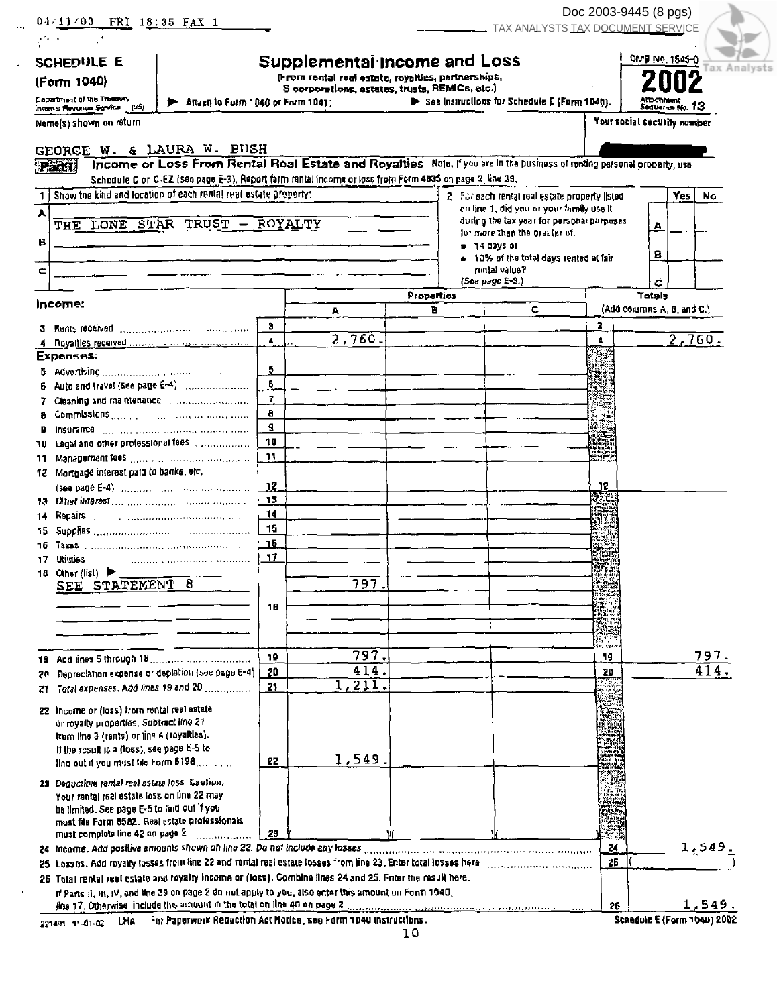| 04/11/03 FRI 18:35 FAX 1                                                                                                               |                |                                                                                                      |                                              | TAX ANALYSTS TAX DOCUMENT SERVICE                                                     | Doc 2003-9445 (8 pgs) |                             |                             |
|----------------------------------------------------------------------------------------------------------------------------------------|----------------|------------------------------------------------------------------------------------------------------|----------------------------------------------|---------------------------------------------------------------------------------------|-----------------------|-----------------------------|-----------------------------|
| $\frac{1}{2}$ , $\frac{1}{2}$ , $\frac{1}{2}$                                                                                          |                |                                                                                                      |                                              |                                                                                       |                       |                             |                             |
| SCHEDULE E                                                                                                                             |                | Supplemental income and Loss                                                                         |                                              |                                                                                       |                       | DMB No. 1545-0              | Analysts                    |
| (Form 1040)                                                                                                                            |                | (From rental real estate, royalties, partnerships,<br>S corporations, estates, trusts, REMICs, etc.) |                                              |                                                                                       |                       |                             |                             |
| Department of the Treesury<br><b>E</b> Anach to Form 1040 or Form 1041;<br>Internal Revonus Sarvice (99)                               |                |                                                                                                      | See Instructions for Schedule E (Parm 1040). |                                                                                       |                       | Seduance No. 13             |                             |
| Name(s) shown on return                                                                                                                |                |                                                                                                      |                                              |                                                                                       |                       | Your social security number |                             |
| GEORGE W. & LAURA W. BUSH                                                                                                              |                |                                                                                                      |                                              |                                                                                       |                       |                             |                             |
| Income or Loss From Rental Real Estate and Royalties Note, if you are in the business of renting personal property, use<br><b>Part</b> |                |                                                                                                      |                                              |                                                                                       |                       |                             |                             |
| Schedule C or C-EZ (see page E-3). Report form rental income or loss from Form 4835 on page 2, line 39.                                |                |                                                                                                      |                                              |                                                                                       |                       |                             |                             |
| 1   Show the kind and location of each rantal teal estate property:                                                                    |                |                                                                                                      |                                              | 2 For each rental real estate property (isted                                         |                       | Yes l                       | No                          |
| A<br>THE LONE STAR TRUST - ROYALTY                                                                                                     |                |                                                                                                      |                                              | on line 1, did you or your family use it<br>during the tax year for personal purposes |                       |                             |                             |
|                                                                                                                                        |                |                                                                                                      |                                              | for more than the greater of:                                                         |                       | А                           |                             |
| В                                                                                                                                      |                |                                                                                                      | . 14 days or                                 | - 10% of the total days rented at fair                                                |                       | в                           |                             |
| с                                                                                                                                      |                |                                                                                                      |                                              | rental value?                                                                         |                       |                             |                             |
|                                                                                                                                        |                |                                                                                                      | $(See page E-3.)$<br>Properties              |                                                                                       |                       | Totals                      |                             |
| Income:                                                                                                                                |                | A                                                                                                    | в                                            | c                                                                                     |                       | (Add columns A, B, and C.)  |                             |
|                                                                                                                                        | 3              |                                                                                                      |                                              |                                                                                       | з                     |                             |                             |
|                                                                                                                                        | $\blacksquare$ | 2,760.                                                                                               |                                              |                                                                                       | 4                     |                             | $\overline{2}$ , 760.       |
| <b>Expenses:</b>                                                                                                                       |                |                                                                                                      |                                              |                                                                                       |                       |                             |                             |
| Auto and traval (see page E-4)                                                                                                         | 5.<br>6        |                                                                                                      |                                              |                                                                                       |                       |                             |                             |
| Cleaning and maintenance communications                                                                                                | $\mathbf{7}$   |                                                                                                      |                                              |                                                                                       |                       |                             |                             |
|                                                                                                                                        | 8              |                                                                                                      |                                              |                                                                                       |                       |                             |                             |
| Insurance <i>communication communication</i><br>9                                                                                      | g.<br>10       |                                                                                                      |                                              |                                                                                       |                       |                             |                             |
| 10 Legal and other professional fees<br>11.                                                                                            | 11             |                                                                                                      |                                              |                                                                                       |                       |                             |                             |
| 12 Mortgage interest paid to banks, etc.                                                                                               |                |                                                                                                      |                                              |                                                                                       |                       |                             |                             |
|                                                                                                                                        | 12             |                                                                                                      |                                              |                                                                                       | .12                   |                             |                             |
|                                                                                                                                        | 13             |                                                                                                      |                                              |                                                                                       |                       |                             |                             |
| 14<br>15.                                                                                                                              | 14<br>15       |                                                                                                      |                                              |                                                                                       |                       |                             |                             |
| 16                                                                                                                                     | 16             |                                                                                                      |                                              |                                                                                       |                       |                             |                             |
| <b>Utilities</b><br>17                                                                                                                 | 17             |                                                                                                      |                                              |                                                                                       |                       |                             |                             |
| 18 Other (list) $\blacktriangleright$ _<br>SEE STATEMENT 8                                                                             |                | 797.                                                                                                 |                                              |                                                                                       |                       |                             |                             |
|                                                                                                                                        |                |                                                                                                      |                                              |                                                                                       |                       |                             |                             |
|                                                                                                                                        | 16             |                                                                                                      |                                              |                                                                                       |                       |                             |                             |
|                                                                                                                                        |                |                                                                                                      |                                              |                                                                                       |                       |                             |                             |
|                                                                                                                                        | -19            | 797.                                                                                                 |                                              |                                                                                       | <b>Sept.</b><br>19    |                             | <u> 797.</u>                |
| Depreciation expense or depistion (see page E-4)<br>20.                                                                                | 20             | 414.                                                                                                 |                                              |                                                                                       | 20                    |                             | 414                         |
| Total expenses. Add lines 19 and 20<br>27                                                                                              | 21             | 1, 211.                                                                                              |                                              |                                                                                       |                       |                             |                             |
| 22 Income or (loss) from rental real estate                                                                                            |                |                                                                                                      |                                              |                                                                                       |                       |                             |                             |
| or royalty properties, Subtract line 21                                                                                                |                |                                                                                                      |                                              |                                                                                       |                       |                             |                             |
| tram line 3 (rents) or line 4 (royaltles).<br>If the result is a (loss), see page E-5 to                                               |                |                                                                                                      |                                              |                                                                                       |                       |                             |                             |
| fing out if you must file Form 6198                                                                                                    | 22             | 1,549.                                                                                               |                                              |                                                                                       |                       |                             |                             |
| 23 Deductible rental real estate loss. Caution.                                                                                        |                |                                                                                                      |                                              |                                                                                       |                       |                             |                             |
| Your rental real estate loss on line 22 may                                                                                            |                |                                                                                                      |                                              |                                                                                       |                       |                             |                             |
| be timited. See page E-5 to find out if you<br>must file Form 8582. Real estate professionals                                          |                |                                                                                                      |                                              |                                                                                       |                       |                             |                             |
| must complete line 42 on page 2                                                                                                        | 29             |                                                                                                      |                                              |                                                                                       |                       |                             |                             |
|                                                                                                                                        |                |                                                                                                      |                                              |                                                                                       | 24                    |                             | 1,549.                      |
| 26 Total rental real estate and royalty income or (loss). Combine lines 24 and 25, Enter the result here.                              |                |                                                                                                      |                                              |                                                                                       | 25                    |                             |                             |
| If Parts II, III, IV, and line 39 on page 2 do not apply to you, also enter this amount on Form 1040.                                  |                |                                                                                                      |                                              |                                                                                       |                       |                             |                             |
| line 17. Otherwise, include this amount in the total on line 40 on page 2.                                                             |                |                                                                                                      |                                              |                                                                                       | 26                    |                             | 1,549.                      |
| $\frac{1}{2}$ st $\sigma$ and $\frac{1}{2}$ the $\frac{1}{2}$ For Paperwork Reduction Act Notice see Form 1040 instructions.           |                |                                                                                                      |                                              |                                                                                       |                       |                             | Schedule E (Form 1040) 2002 |

 $\ddot{\phantom{a}}$